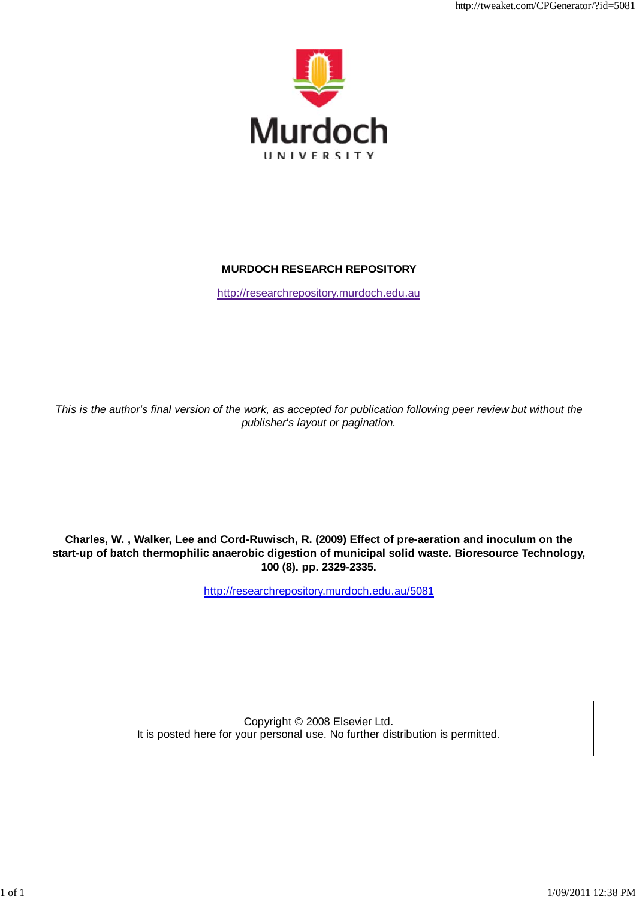

http://tweaket.com/CPGenerator/?id=5081

# **MURDOCH RESEARCH REPOSITORY**

http://researchrepository.murdoch.edu.au

*This is the author's final version of the work, as accepted for publication following peer review but without the publisher's layout or pagination.*

**Charles, W. , Walker, Lee and Cord-Ruwisch, R. (2009) Effect of pre-aeration and inoculum on the start-up of batch thermophilic anaerobic digestion of municipal solid waste. Bioresource Technology, 100 (8). pp. 2329-2335.**

http://researchrepository.murdoch.edu.au/5081

Copyright © 2008 Elsevier Ltd. It is posted here for your personal use. No further distribution is permitted.

1 of 1 1/09/2011 12:38 PM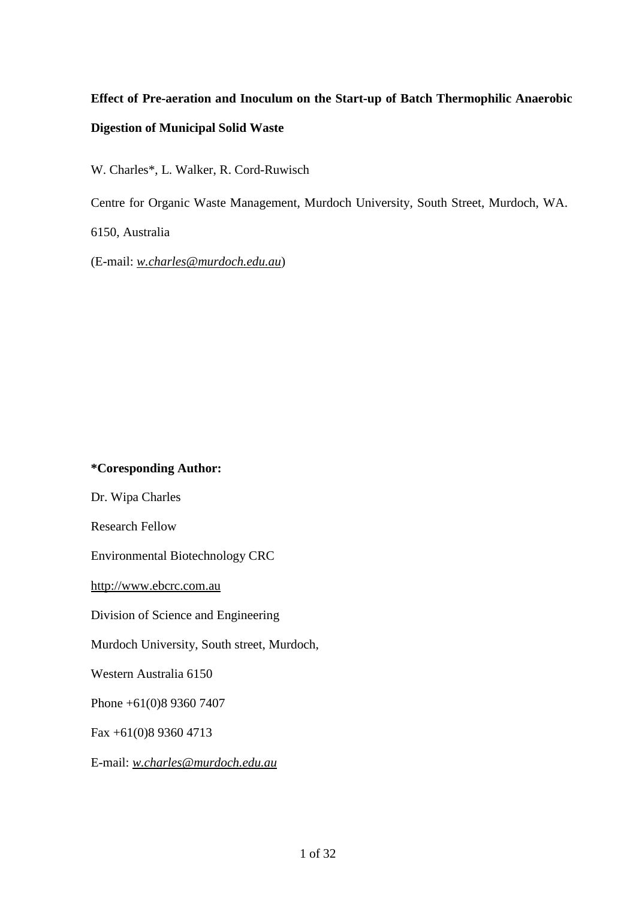# **Effect of Pre-aeration and Inoculum on the Start-up of Batch Thermophilic Anaerobic Digestion of Municipal Solid Waste**

W. Charles\*, L. Walker, R. Cord-Ruwisch

Centre for Organic Waste Management, Murdoch University, South Street, Murdoch, WA.

6150, Australia

(E-mail: *[w.charles@murdoch.edu.au](mailto:w.charles@murdoch.edu.au)*)

# **\*Coresponding Author:**

Dr. Wipa Charles

Research Fellow

Environmental Biotechnology CRC

[http://www.ebcrc.com.au](http://www.ebcrc.com.au/)

Division of Science and Engineering

Murdoch University, South street, Murdoch,

Western Australia 6150

Phone +61(0)8 9360 7407

Fax +61(0)8 9360 4713

E-mail: *[w.charles@murdoch.edu.au](mailto:w.charles@murdoch.edu.au)*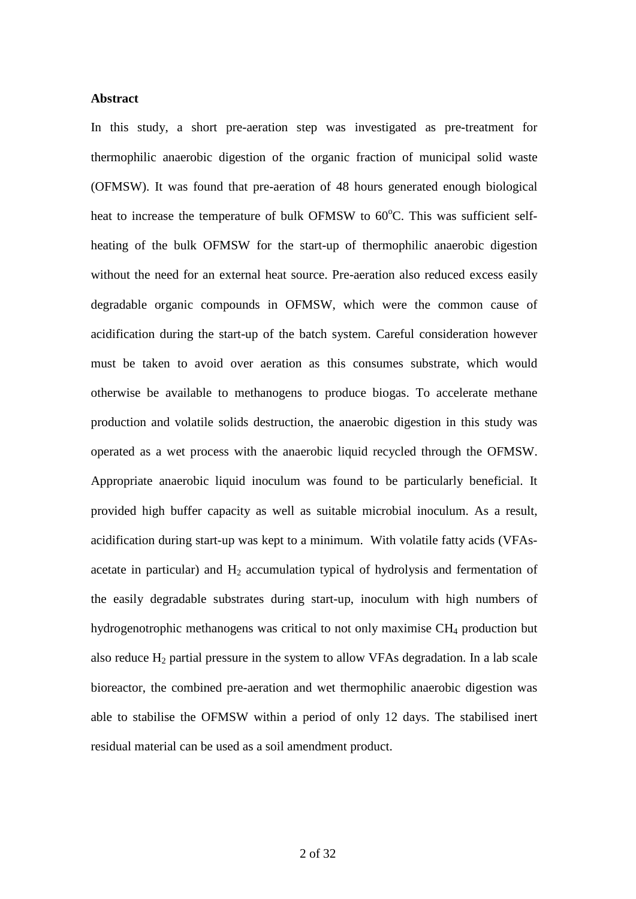## **Abstract**

In this study, a short pre-aeration step was investigated as pre-treatment for thermophilic anaerobic digestion of the organic fraction of municipal solid waste (OFMSW). It was found that pre-aeration of 48 hours generated enough biological heat to increase the temperature of bulk OFMSW to 60°C. This was sufficient selfheating of the bulk OFMSW for the start-up of thermophilic anaerobic digestion without the need for an external heat source. Pre-aeration also reduced excess easily degradable organic compounds in OFMSW, which were the common cause of acidification during the start-up of the batch system. Careful consideration however must be taken to avoid over aeration as this consumes substrate, which would otherwise be available to methanogens to produce biogas. To accelerate methane production and volatile solids destruction, the anaerobic digestion in this study was operated as a wet process with the anaerobic liquid recycled through the OFMSW. Appropriate anaerobic liquid inoculum was found to be particularly beneficial. It provided high buffer capacity as well as suitable microbial inoculum. As a result, acidification during start-up was kept to a minimum. With volatile fatty acids (VFAsacetate in particular) and  $H_2$  accumulation typical of hydrolysis and fermentation of the easily degradable substrates during start-up, inoculum with high numbers of hydrogenotrophic methanogens was critical to not only maximise CH<sub>4</sub> production but also reduce  $H_2$  partial pressure in the system to allow VFAs degradation. In a lab scale bioreactor, the combined pre-aeration and wet thermophilic anaerobic digestion was able to stabilise the OFMSW within a period of only 12 days. The stabilised inert residual material can be used as a soil amendment product.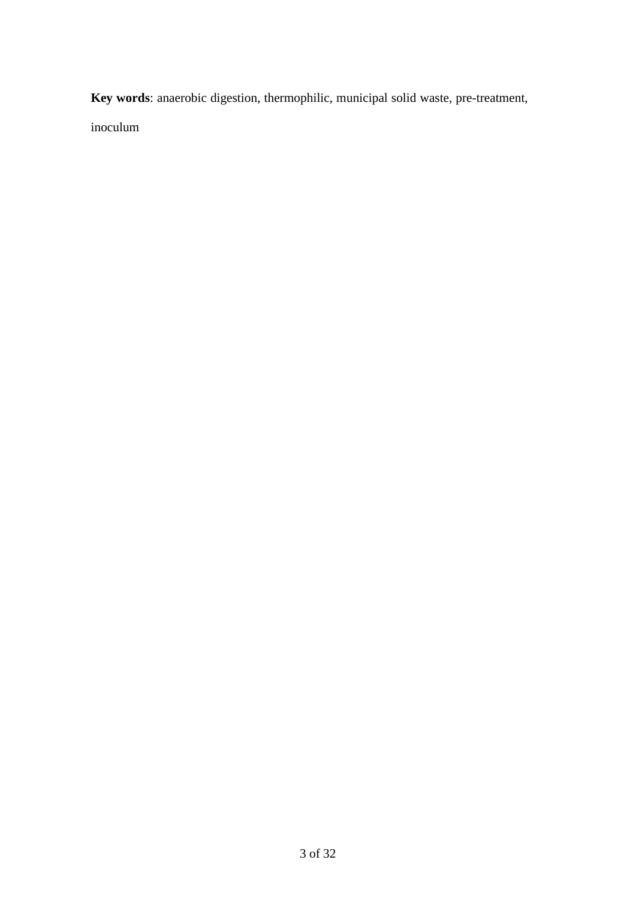**Key words**: anaerobic digestion, thermophilic, municipal solid waste, pre-treatment, inoculum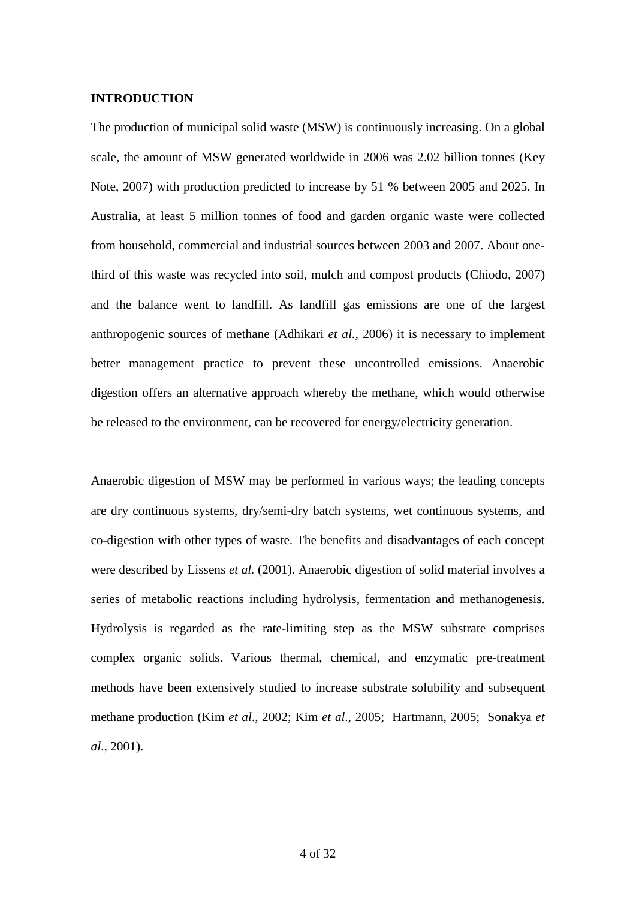## **INTRODUCTION**

The production of municipal solid waste (MSW) is continuously increasing. On a global scale, the amount of MSW generated worldwide in 2006 was 2.02 billion tonnes (Key Note, 2007) with production predicted to increase by 51 % between 2005 and 2025. In Australia, at least 5 million tonnes of food and garden organic waste were collected from household, commercial and industrial sources between 2003 and 2007. About onethird of this waste was recycled into soil, mulch and compost products (Chiodo, 2007) and the balance went to landfill. As landfill gas emissions are one of the largest anthropogenic sources of methane (Adhikari *et al.,* 2006) it is necessary to implement better management practice to prevent these uncontrolled emissions. Anaerobic digestion offers an alternative approach whereby the methane, which would otherwise be released to the environment, can be recovered for energy/electricity generation.

Anaerobic digestion of MSW may be performed in various ways; the leading concepts are dry continuous systems, dry/semi-dry batch systems, wet continuous systems, and co-digestion with other types of waste. The benefits and disadvantages of each concept were described by Lissens *et al.* (2001). Anaerobic digestion of solid material involves a series of metabolic reactions including hydrolysis, fermentation and methanogenesis. Hydrolysis is regarded as the rate-limiting step as the MSW substrate comprises complex organic solids. Various thermal, chemical, and enzymatic pre-treatment methods have been extensively studied to increase substrate solubility and subsequent methane production (Kim *et al*., 2002; Kim *et al*., 2005; Hartmann, 2005; Sonakya *et al*., 2001).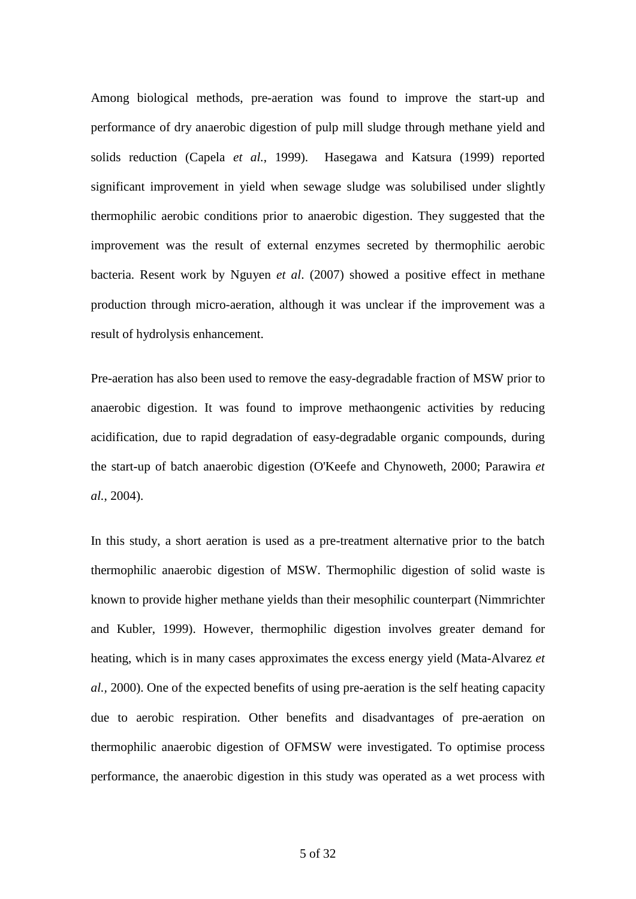Among biological methods, pre-aeration was found to improve the start-up and performance of dry anaerobic digestion of pulp mill sludge through methane yield and solids reduction [\(Capela](http://www.sciencedirect.com/science?_ob=ArticleURL&_udi=B6V24-4J7B0W9-2&_user=917906&_rdoc=1&_fmt=&_orig=search&_sort=d&view=c&_acct=C000047999&_version=1&_urlVersion=0&_userid=917906&md5=73e6a56e23de0a2e6b3aea14366e4374#bbib3#bbib3) *et al.*, 1999). [Hasegawa](http://www.sciencedirect.com/science?_ob=ArticleURL&_udi=B6V24-401HDXD-2&_user=917906&_coverDate=08%2F31%2F2000&_rdoc=1&_fmt=&_orig=search&_sort=d&view=c&_acct=C000047999&_version=1&_urlVersion=0&_userid=917906&md5=8b5251479d645cdb18f45c621ea26d43#bbib43#) and Katsura (1999) reported significant improvement in yield when sewage sludge was solubilised under slightly thermophilic aerobic conditions prior to anaerobic digestion. They suggested that the improvement was the result of external enzymes secreted by thermophilic aerobic bacteria. Resent work by Nguyen *et al*. (2007) showed a positive effect in methane production through micro-aeration, although it was unclear if the improvement was a result of hydrolysis enhancement.

Pre-aeration has also been used to remove the easy-degradable fraction of MSW prior to anaerobic digestion. It was found to improve methaongenic activities by reducing acidification, due to rapid degradation of easy-degradable organic compounds, during the start-up of batch anaerobic digestion (O'Keefe and Chynoweth, 2000; Parawira *et al.*, 2004).

In this study, a short aeration is used as a pre-treatment alternative prior to the batch thermophilic anaerobic digestion of MSW. Thermophilic digestion of solid waste is known to provide higher methane yields than their mesophilic counterpart (Nimmrichter and Kubler, 1999). However, thermophilic digestion involves greater demand for heating, which is in many cases approximates the excess energy yield (Mata-Alvarez *et al.,* 2000). One of the expected benefits of using pre-aeration is the self heating capacity due to aerobic respiration. Other benefits and disadvantages of pre-aeration on thermophilic anaerobic digestion of OFMSW were investigated. To optimise process performance, the anaerobic digestion in this study was operated as a wet process with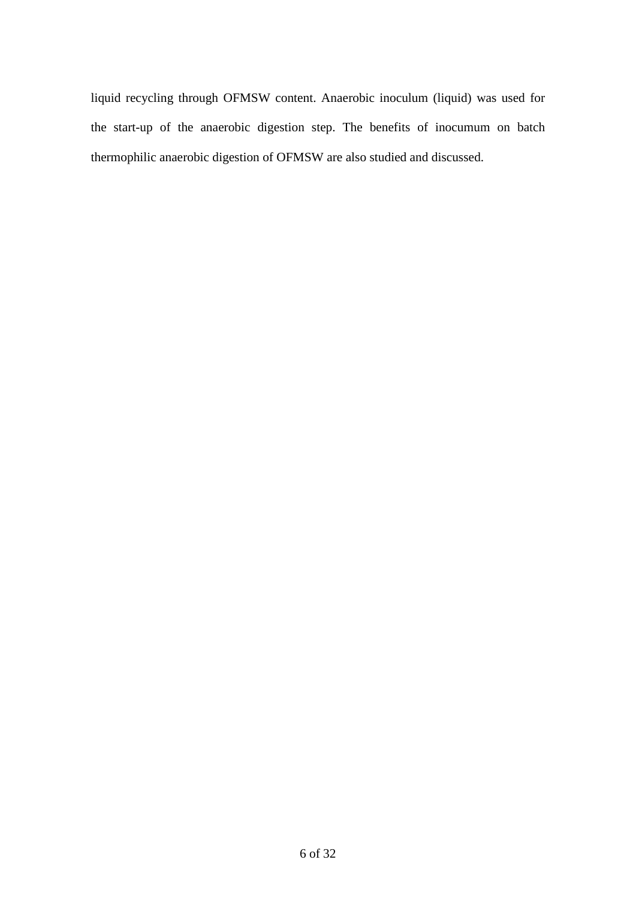liquid recycling through OFMSW content. Anaerobic inoculum (liquid) was used for the start-up of the anaerobic digestion step. The benefits of inocumum on batch thermophilic anaerobic digestion of OFMSW are also studied and discussed.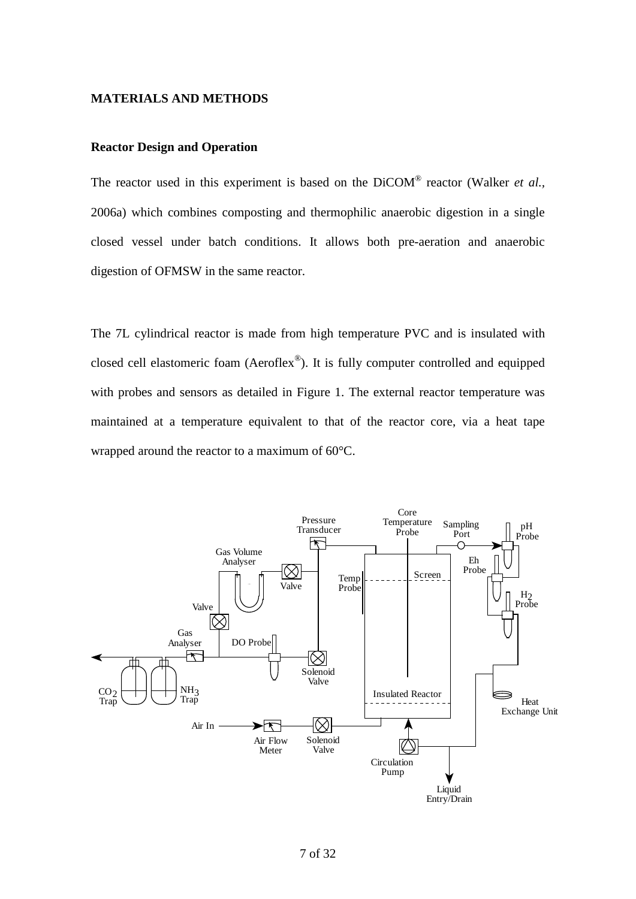#### **MATERIALS AND METHODS**

## **Reactor Design and Operation**

The reactor used in this experiment is based on the DiCOM® reactor (Walker *et al.,* 2006a) which combines composting and thermophilic anaerobic digestion in a single closed vessel under batch conditions. It allows both pre-aeration and anaerobic digestion of OFMSW in the same reactor.

The 7L cylindrical reactor is made from high temperature PVC and is insulated with closed cell elastomeric foam (Aeroflex®). It is fully computer controlled and equipped with probes and sensors as detailed in Figure 1. The external reactor temperature was maintained at a temperature equivalent to that of the reactor core, via a heat tape wrapped around the reactor to a maximum of 60°C.

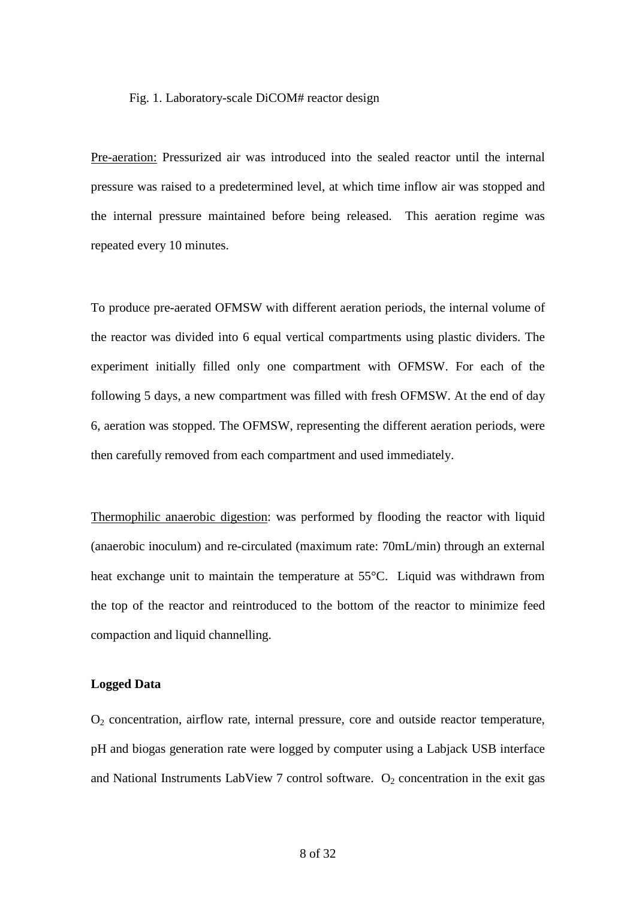#### Fig. 1. Laboratory-scale DiCOM# reactor design

Pre-aeration: Pressurized air was introduced into the sealed reactor until the internal pressure was raised to a predetermined level, at which time inflow air was stopped and the internal pressure maintained before being released. This aeration regime was repeated every 10 minutes.

To produce pre-aerated OFMSW with different aeration periods, the internal volume of the reactor was divided into 6 equal vertical compartments using plastic dividers. The experiment initially filled only one compartment with OFMSW. For each of the following 5 days, a new compartment was filled with fresh OFMSW. At the end of day 6, aeration was stopped. The OFMSW, representing the different aeration periods, were then carefully removed from each compartment and used immediately.

Thermophilic anaerobic digestion: was performed by flooding the reactor with liquid (anaerobic inoculum) and re-circulated (maximum rate: 70mL/min) through an external heat exchange unit to maintain the temperature at 55°C. Liquid was withdrawn from the top of the reactor and reintroduced to the bottom of the reactor to minimize feed compaction and liquid channelling.

#### **Logged Data**

 $O<sub>2</sub>$  concentration, airflow rate, internal pressure, core and outside reactor temperature, pH and biogas generation rate were logged by computer using a Labjack USB interface and National Instruments LabView 7 control software.  $O_2$  concentration in the exit gas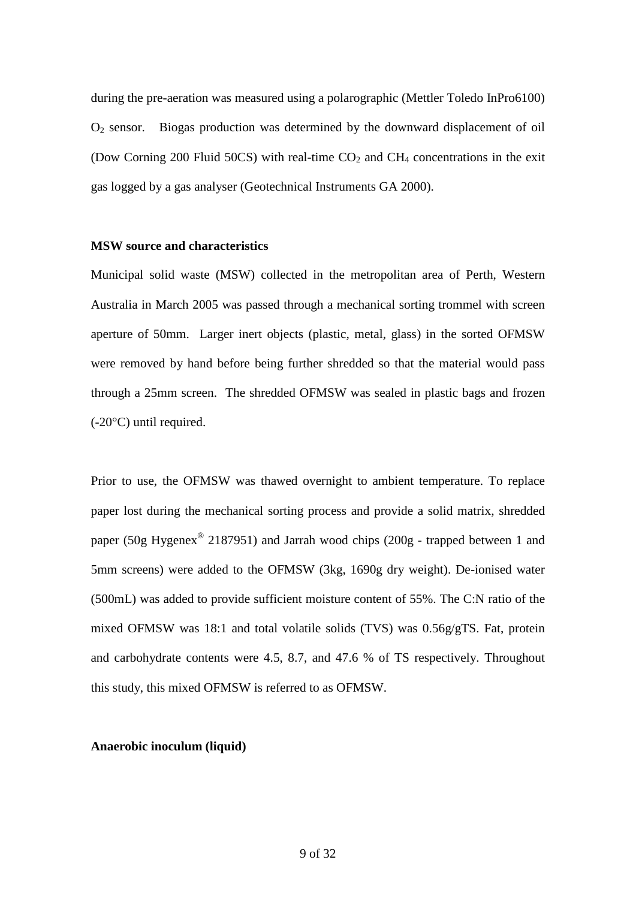during the pre-aeration was measured using a polarographic (Mettler Toledo InPro6100)  $O<sub>2</sub>$  sensor. Biogas production was determined by the downward displacement of oil (Dow Corning 200 Fluid 50CS) with real-time  $CO<sub>2</sub>$  and  $CH<sub>4</sub>$  concentrations in the exit gas logged by a gas analyser (Geotechnical Instruments GA 2000).

## **MSW source and characteristics**

Municipal solid waste (MSW) collected in the metropolitan area of Perth, Western Australia in March 2005 was passed through a mechanical sorting trommel with screen aperture of 50mm. Larger inert objects (plastic, metal, glass) in the sorted OFMSW were removed by hand before being further shredded so that the material would pass through a 25mm screen. The shredded OFMSW was sealed in plastic bags and frozen (-20°C) until required.

Prior to use, the OFMSW was thawed overnight to ambient temperature. To replace paper lost during the mechanical sorting process and provide a solid matrix, shredded paper (50g Hygenex® 2187951) and Jarrah wood chips (200g - trapped between 1 and 5mm screens) were added to the OFMSW (3kg, 1690g dry weight). De-ionised water (500mL) was added to provide sufficient moisture content of 55%. The C:N ratio of the mixed OFMSW was 18:1 and total volatile solids (TVS) was 0.56g/gTS. Fat, protein and carbohydrate contents were 4.5, 8.7, and 47.6 % of TS respectively. Throughout this study, this mixed OFMSW is referred to as OFMSW.

### **Anaerobic inoculum (liquid)**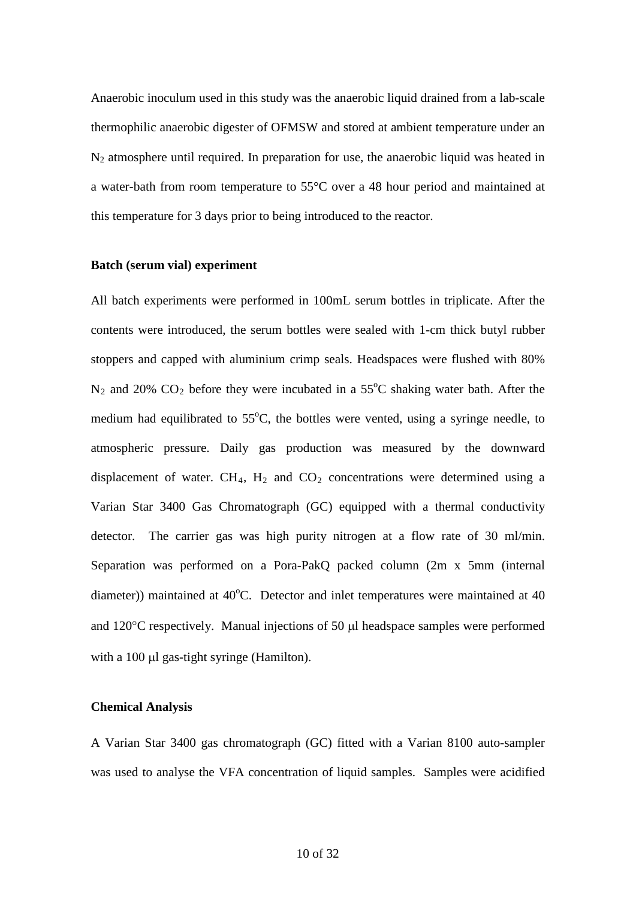Anaerobic inoculum used in this study was the anaerobic liquid drained from a lab-scale thermophilic anaerobic digester of OFMSW and stored at ambient temperature under an  $N_2$  atmosphere until required. In preparation for use, the anaerobic liquid was heated in a water-bath from room temperature to 55°C over a 48 hour period and maintained at this temperature for 3 days prior to being introduced to the reactor.

## **Batch (serum vial) experiment**

All batch experiments were performed in 100mL serum bottles in triplicate. After the contents were introduced, the serum bottles were sealed with 1-cm thick butyl rubber stoppers and capped with aluminium crimp seals. Headspaces were flushed with 80%  $N_2$  and 20%  $CO_2$  before they were incubated in a 55°C shaking water bath. After the medium had equilibrated to  $55^{\circ}$ C, the bottles were vented, using a syringe needle, to atmospheric pressure. Daily gas production was measured by the downward displacement of water.  $CH_4$ ,  $H_2$  and  $CO_2$  concentrations were determined using a Varian Star 3400 Gas Chromatograph (GC) equipped with a thermal conductivity detector. The carrier gas was high purity nitrogen at a flow rate of 30 ml/min. Separation was performed on a Pora-PakQ packed column (2m x 5mm (internal diameter)) maintained at  $40^{\circ}$ C. Detector and inlet temperatures were maintained at  $40$ and 120°C respectively. Manual injections of 50 µl headspace samples were performed with a 100 µl gas-tight syringe (Hamilton).

## **Chemical Analysis**

A Varian Star 3400 gas chromatograph (GC) fitted with a Varian 8100 auto-sampler was used to analyse the VFA concentration of liquid samples. Samples were acidified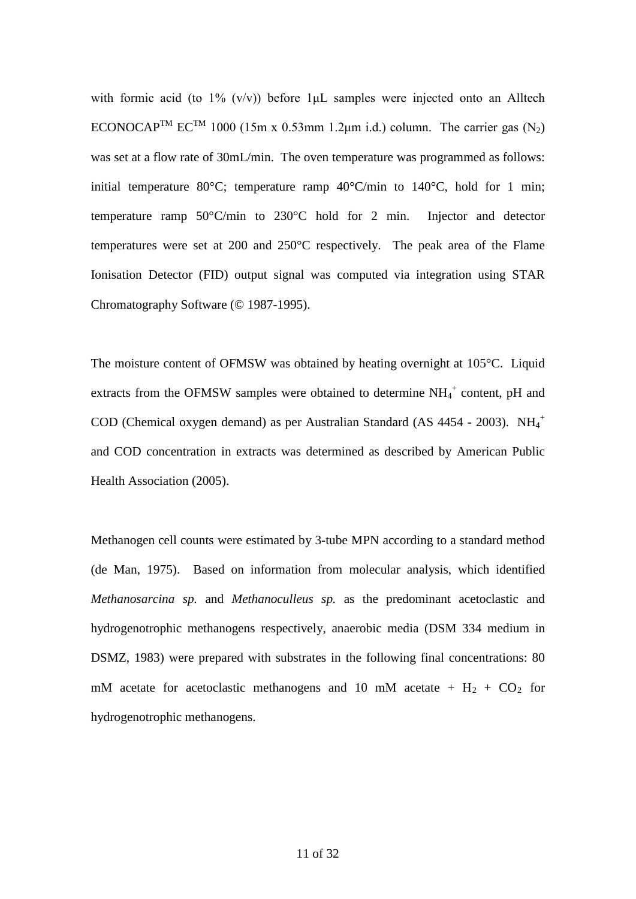with formic acid (to  $1\%$  (v/v)) before  $1\mu$ . Samples were injected onto an Alltech ECONOCAP<sup>TM</sup> EC<sup>TM</sup> 1000 (15m x 0.53mm 1.2 $\mu$ m i.d.) column. The carrier gas (N<sub>2</sub>) was set at a flow rate of 30mL/min. The oven temperature was programmed as follows: initial temperature 80 $^{\circ}$ C; temperature ramp 40 $^{\circ}$ C/min to 140 $^{\circ}$ C, hold for 1 min; temperature ramp 50°C/min to 230°C hold for 2 min. Injector and detector temperatures were set at 200 and 250°C respectively. The peak area of the Flame Ionisation Detector (FID) output signal was computed via integration using STAR Chromatography Software (© 1987-1995).

The moisture content of OFMSW was obtained by heating overnight at 105°C. Liquid extracts from the OFMSW samples were obtained to determine  $NH_4^+$  content, pH and COD (Chemical oxygen demand) as per Australian Standard (AS 4454 - 2003). NH<sub>4</sub><sup>+</sup> and COD concentration in extracts was determined as described by American Public Health Association (2005).

Methanogen cell counts were estimated by 3-tube MPN according to a standard method (de Man, 1975). Based on information from molecular analysis, which identified *Methanosarcina sp.* and *Methanoculleus sp.* as the predominant acetoclastic and hydrogenotrophic methanogens respectively, anaerobic media (DSM 334 medium in DSMZ, 1983) were prepared with substrates in the following final concentrations: 80 mM acetate for acetoclastic methanogens and 10 mM acetate +  $H_2$  +  $CO_2$  for hydrogenotrophic methanogens.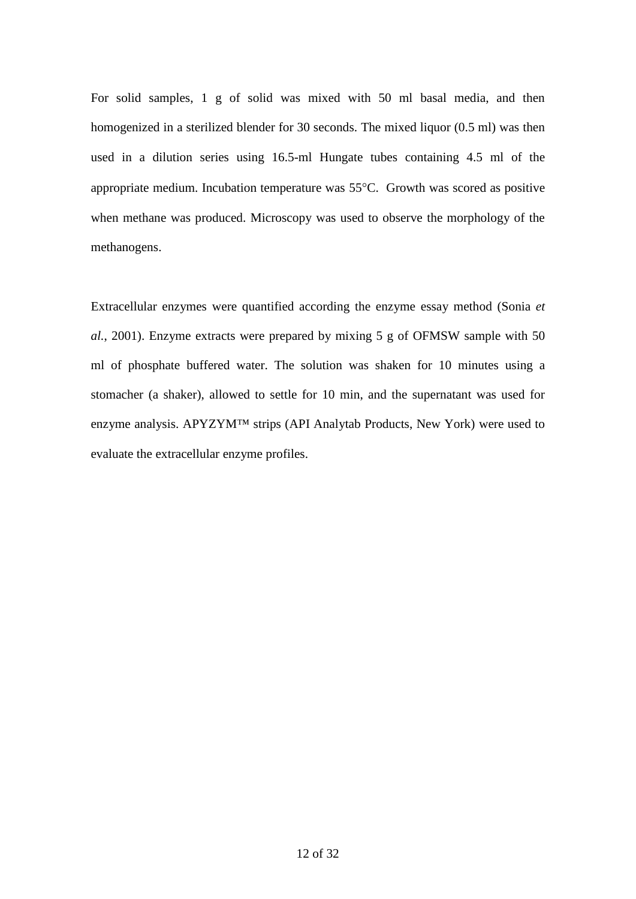For solid samples, 1 g of solid was mixed with 50 ml basal media, and then homogenized in a sterilized blender for 30 seconds. The mixed liquor (0.5 ml) was then used in a dilution series using 16.5-ml Hungate tubes containing 4.5 ml of the appropriate medium. Incubation temperature was 55°C. Growth was scored as positive when methane was produced. Microscopy was used to observe the morphology of the methanogens.

Extracellular enzymes were quantified according the enzyme essay method (Sonia *et al.*, 2001). Enzyme extracts were prepared by mixing 5 g of OFMSW sample with 50 ml of phosphate buffered water. The solution was shaken for 10 minutes using a stomacher (a shaker), allowed to settle for 10 min, and the supernatant was used for enzyme analysis. APYZYM™ strips (API Analytab Products, New York) were used to evaluate the extracellular enzyme profiles.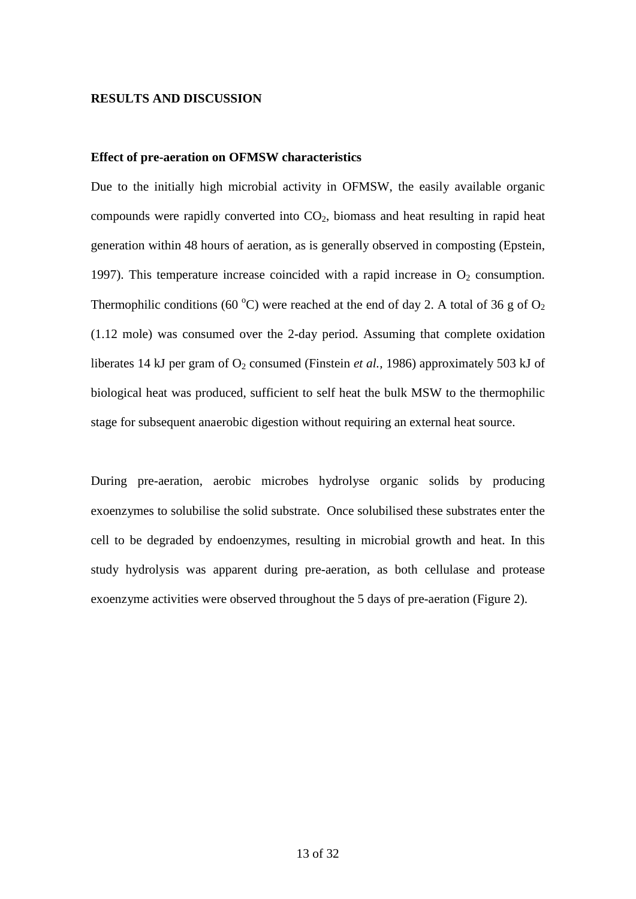#### **RESULTS AND DISCUSSION**

## **Effect of pre-aeration on OFMSW characteristics**

Due to the initially high microbial activity in OFMSW, the easily available organic compounds were rapidly converted into  $CO<sub>2</sub>$ , biomass and heat resulting in rapid heat generation within 48 hours of aeration, as is generally observed in composting (Epstein, 1997). This temperature increase coincided with a rapid increase in  $O<sub>2</sub>$  consumption. Thermophilic conditions (60 °C) were reached at the end of day 2. A total of 36 g of  $O_2$ (1.12 mole) was consumed over the 2-day period. Assuming that complete oxidation liberates 14 kJ per gram of  $O_2$  consumed (Finstein *et al.*, 1986) approximately 503 kJ of biological heat was produced, sufficient to self heat the bulk MSW to the thermophilic stage for subsequent anaerobic digestion without requiring an external heat source.

During pre-aeration, aerobic microbes hydrolyse organic solids by producing exoenzymes to solubilise the solid substrate. Once solubilised these substrates enter the cell to be degraded by endoenzymes, resulting in microbial growth and heat. In this study hydrolysis was apparent during pre-aeration, as both cellulase and protease exoenzyme activities were observed throughout the 5 days of pre-aeration (Figure 2).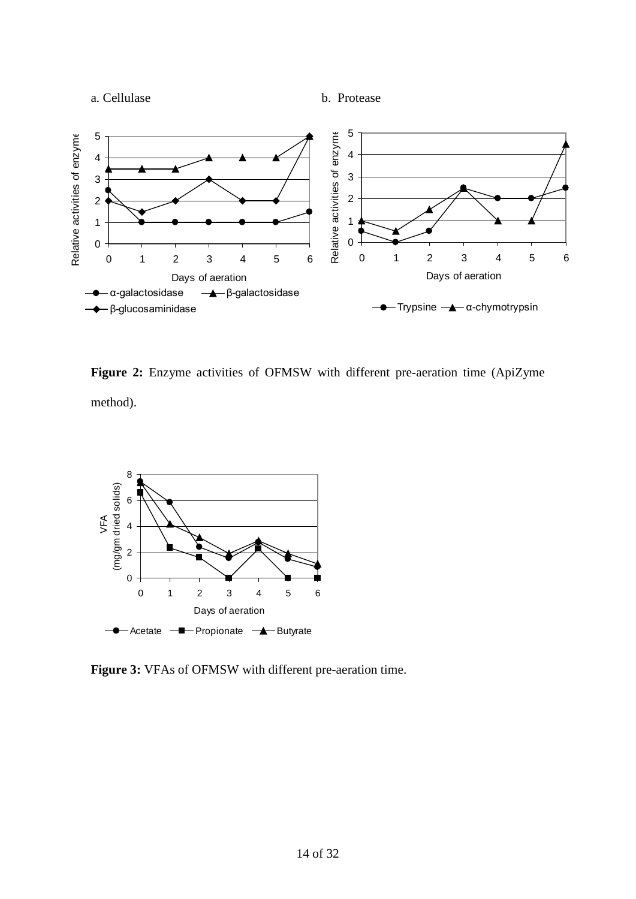



**Figure 2:** Enzyme activities of OFMSW with different pre-aeration time (ApiZyme method).



**Figure 3:** VFAs of OFMSW with different pre-aeration time.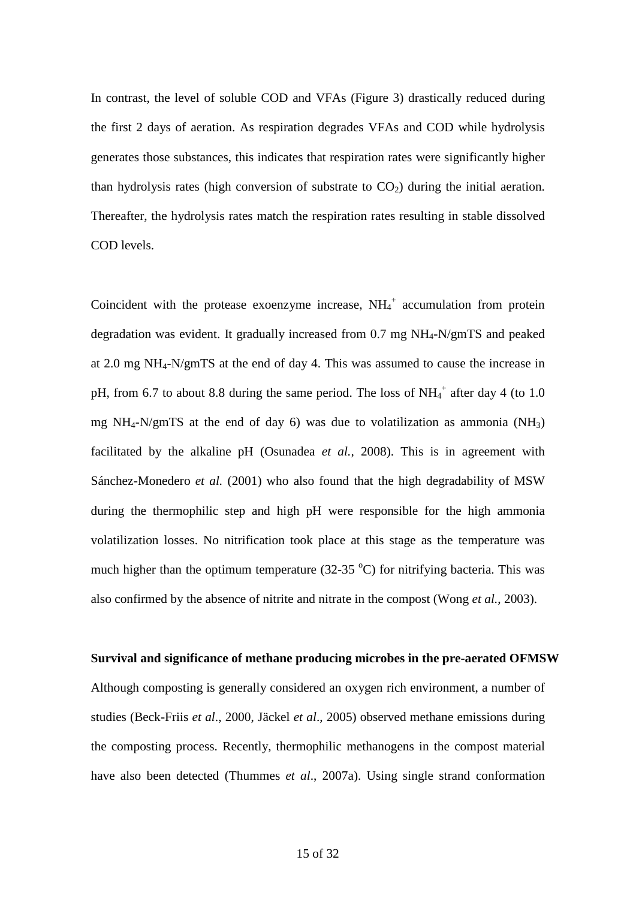In contrast, the level of soluble COD and VFAs (Figure 3) drastically reduced during the first 2 days of aeration. As respiration degrades VFAs and COD while hydrolysis generates those substances, this indicates that respiration rates were significantly higher than hydrolysis rates (high conversion of substrate to  $CO<sub>2</sub>$ ) during the initial aeration. Thereafter, the hydrolysis rates match the respiration rates resulting in stable dissolved COD levels.

Coincident with the protease exoenzyme increase,  $NH_4^+$  accumulation from protein degradation was evident. It gradually increased from 0.7 mg NH4-N/gmTS and peaked at 2.0 mg NH4-N/gmTS at the end of day 4. This was assumed to cause the increase in pH, from 6.7 to about 8.8 during the same period. The loss of  $NH_4^+$  after day 4 (to 1.0 mg NH<sub>4</sub>-N/gmTS at the end of day 6) was due to volatilization as ammonia (NH<sub>3</sub>) facilitated by the alkaline pH (Osunadea *et al.,* 2008). This is in agreement with Sánchez-Monedero *et al.* (2001) who also found that the high degradability of MSW during the thermophilic step and high pH were responsible for the high ammonia volatilization losses. No nitrification took place at this stage as the temperature was much higher than the optimum temperature  $(32-35 \degree C)$  for nitrifying bacteria. This was also confirmed by the absence of nitrite and nitrate in the compost (Wong *et al.*, 2003).

#### **Survival and significance of methane producing microbes in the pre-aerated OFMSW**

Although composting is generally considered an oxygen rich environment, a number of studies (Beck-Friis *et al*., 2000, Jäckel *et al*., 2005) observed methane emissions during the composting process. Recently, thermophilic methanogens in the compost material have also been detected (Thummes *et al*., 2007a). Using single strand conformation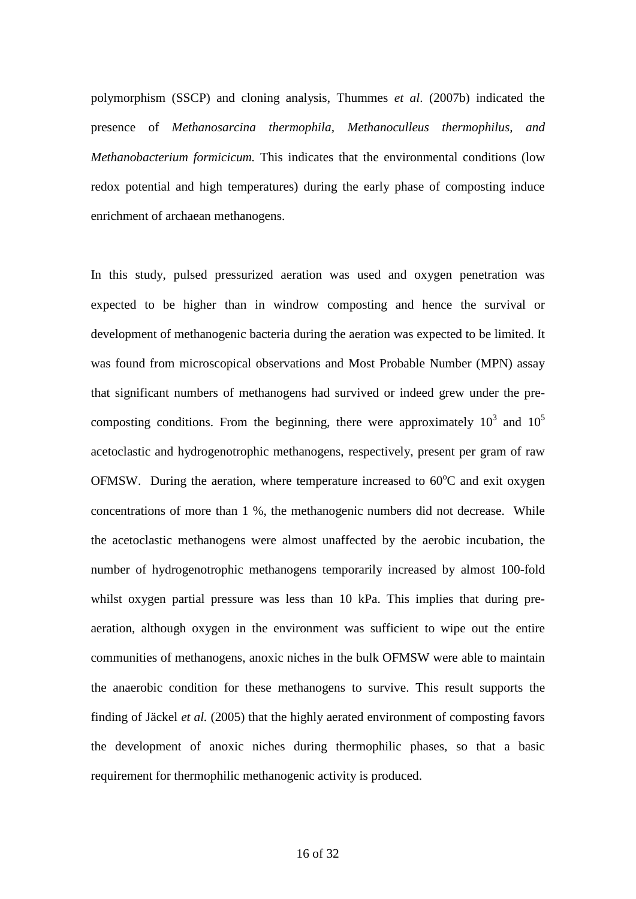polymorphism (SSCP) and cloning analysis, Thummes *et al*. (2007b) indicated the presence of *Methanosarcina thermophila, Methanoculleus thermophilus, and Methanobacterium formicicum.* This indicates that the environmental conditions (low redox potential and high temperatures) during the early phase of composting induce enrichment of archaean methanogens.

In this study, pulsed pressurized aeration was used and oxygen penetration was expected to be higher than in windrow composting and hence the survival or development of methanogenic bacteria during the aeration was expected to be limited. It was found from microscopical observations and Most Probable Number (MPN) assay that significant numbers of methanogens had survived or indeed grew under the precomposting conditions. From the beginning, there were approximately  $10^3$  and  $10^5$ acetoclastic and hydrogenotrophic methanogens, respectively, present per gram of raw OFMSW. During the aeration, where temperature increased to  $60^{\circ}$ C and exit oxygen concentrations of more than 1 %, the methanogenic numbers did not decrease. While the acetoclastic methanogens were almost unaffected by the aerobic incubation, the number of hydrogenotrophic methanogens temporarily increased by almost 100-fold whilst oxygen partial pressure was less than 10 kPa. This implies that during preaeration, although oxygen in the environment was sufficient to wipe out the entire communities of methanogens, anoxic niches in the bulk OFMSW were able to maintain the anaerobic condition for these methanogens to survive. This result supports the finding of Jäckel *et al.* (2005) that the highly aerated environment of composting favors the development of anoxic niches during thermophilic phases, so that a basic requirement for thermophilic methanogenic activity is produced.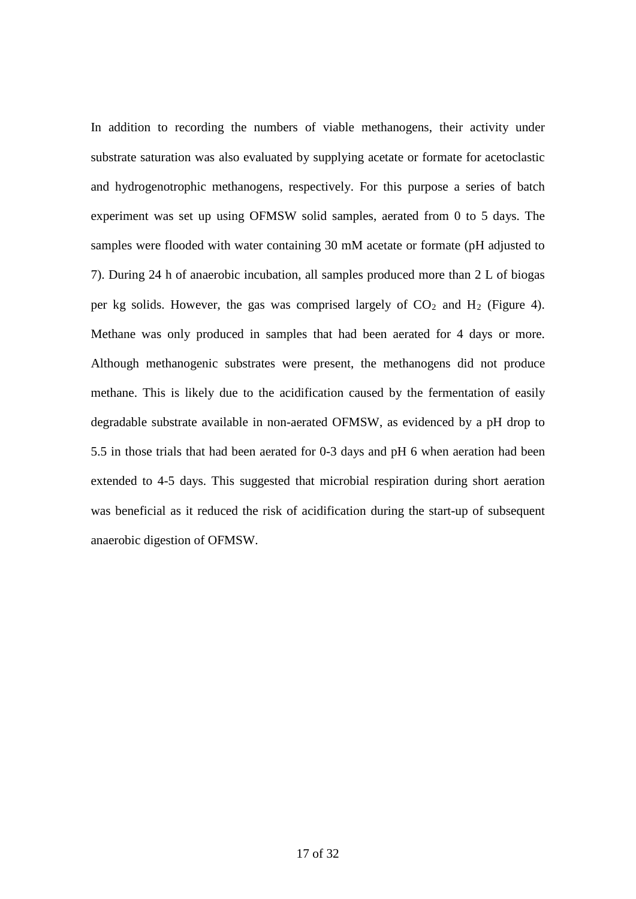In addition to recording the numbers of viable methanogens, their activity under substrate saturation was also evaluated by supplying acetate or formate for acetoclastic and hydrogenotrophic methanogens, respectively. For this purpose a series of batch experiment was set up using OFMSW solid samples, aerated from 0 to 5 days. The samples were flooded with water containing 30 mM acetate or formate (pH adjusted to 7). During 24 h of anaerobic incubation, all samples produced more than 2 L of biogas per kg solids. However, the gas was comprised largely of  $CO<sub>2</sub>$  and  $H<sub>2</sub>$  (Figure 4). Methane was only produced in samples that had been aerated for 4 days or more. Although methanogenic substrates were present, the methanogens did not produce methane. This is likely due to the acidification caused by the fermentation of easily degradable substrate available in non-aerated OFMSW, as evidenced by a pH drop to 5.5 in those trials that had been aerated for 0-3 days and pH 6 when aeration had been extended to 4-5 days. This suggested that microbial respiration during short aeration was beneficial as it reduced the risk of acidification during the start-up of subsequent anaerobic digestion of OFMSW.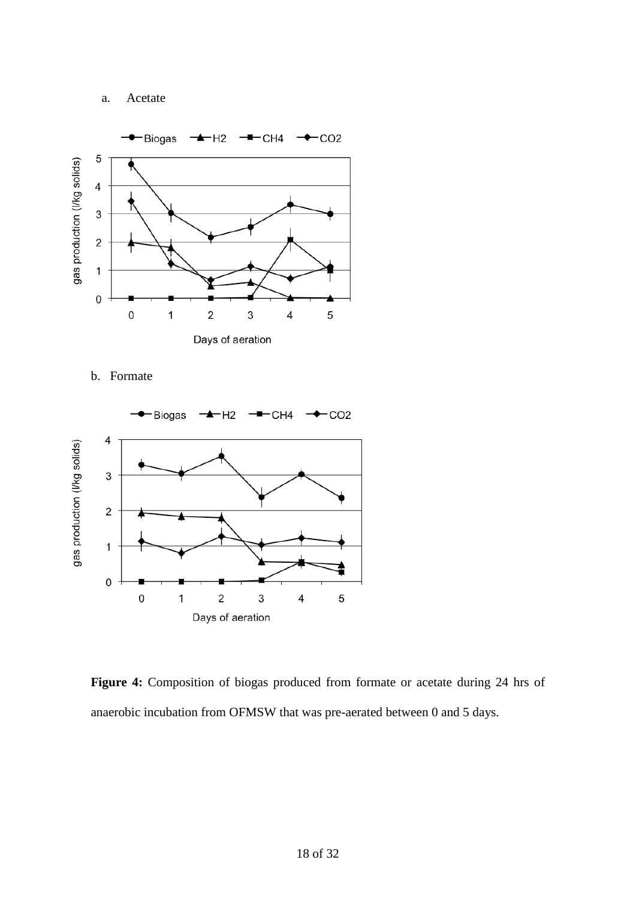# a. Acetate



b. Formate



**Figure 4:** Composition of biogas produced from formate or acetate during 24 hrs of anaerobic incubation from OFMSW that was pre-aerated between 0 and 5 days.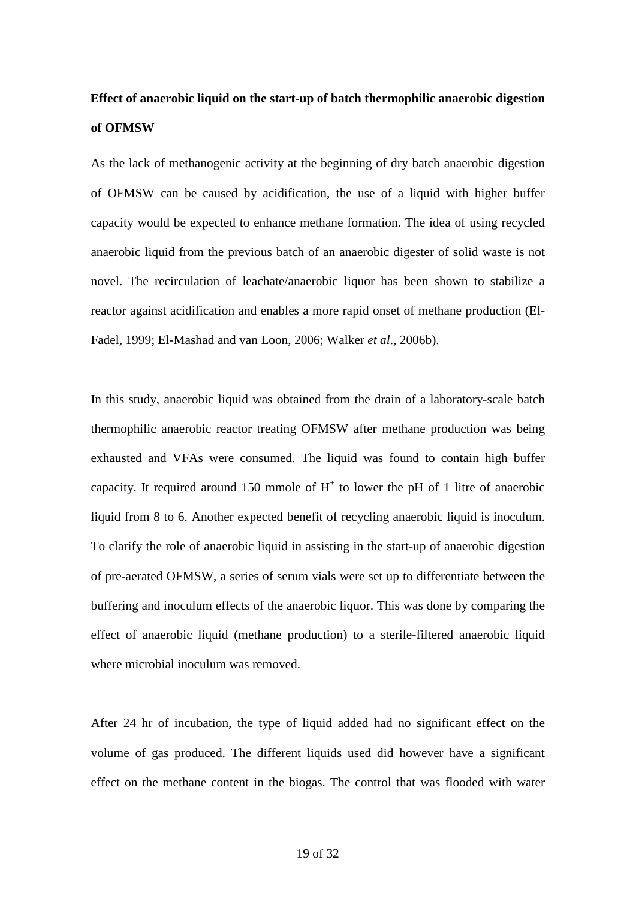# **Effect of anaerobic liquid on the start-up of batch thermophilic anaerobic digestion of OFMSW**

As the lack of methanogenic activity at the beginning of dry batch anaerobic digestion of OFMSW can be caused by acidification, the use of a liquid with higher buffer capacity would be expected to enhance methane formation. The idea of using recycled anaerobic liquid from the previous batch of an anaerobic digester of solid waste is not novel. The recirculation of leachate/anaerobic liquor has been shown to stabilize a reactor against acidification and enables a more rapid onset of methane production (El-Fadel, 1999; El-Mashad and van Loon, 2006; Walker *et al*., 2006b).

In this study, anaerobic liquid was obtained from the drain of a laboratory-scale batch thermophilic anaerobic reactor treating OFMSW after methane production was being exhausted and VFAs were consumed. The liquid was found to contain high buffer capacity. It required around 150 mmole of  $H^+$  to lower the pH of 1 litre of anaerobic liquid from 8 to 6. Another expected benefit of recycling anaerobic liquid is inoculum. To clarify the role of anaerobic liquid in assisting in the start-up of anaerobic digestion of pre-aerated OFMSW, a series of serum vials were set up to differentiate between the buffering and inoculum effects of the anaerobic liquor. This was done by comparing the effect of anaerobic liquid (methane production) to a sterile-filtered anaerobic liquid where microbial inoculum was removed.

After 24 hr of incubation, the type of liquid added had no significant effect on the volume of gas produced. The different liquids used did however have a significant effect on the methane content in the biogas. The control that was flooded with water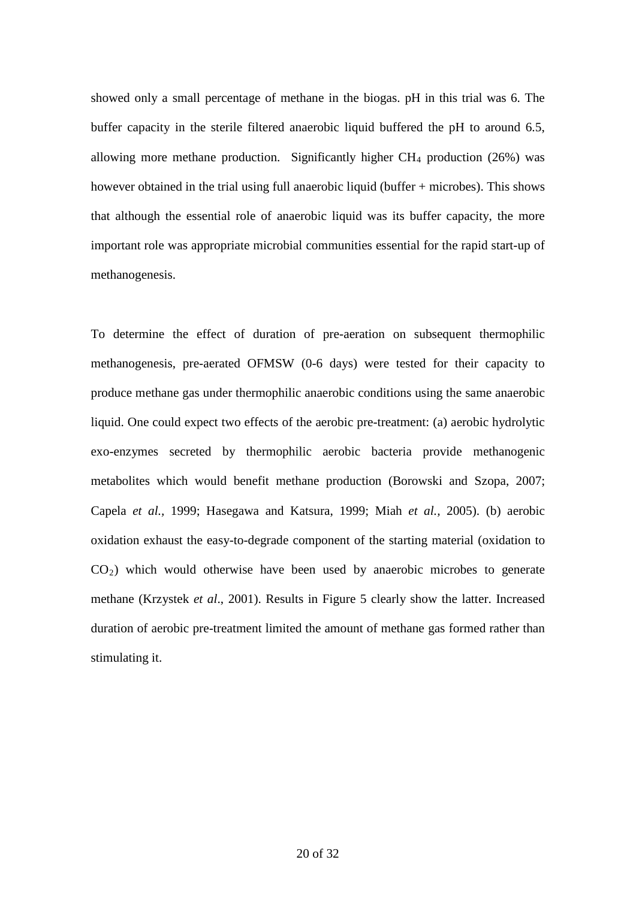showed only a small percentage of methane in the biogas. pH in this trial was 6. The buffer capacity in the sterile filtered anaerobic liquid buffered the pH to around 6.5, allowing more methane production. Significantly higher  $CH_4$  production (26%) was however obtained in the trial using full anaerobic liquid (buffer + microbes). This shows that although the essential role of anaerobic liquid was its buffer capacity, the more important role was appropriate microbial communities essential for the rapid start-up of methanogenesis.

To determine the effect of duration of pre-aeration on subsequent thermophilic methanogenesis, pre-aerated OFMSW (0-6 days) were tested for their capacity to produce methane gas under thermophilic anaerobic conditions using the same anaerobic liquid. One could expect two effects of the aerobic pre-treatment: (a) aerobic hydrolytic exo-enzymes secreted by thermophilic aerobic bacteria provide methanogenic metabolites which would benefit methane production (Borowski and Szopa, 2007; Capela *et al.,* 1999; [Hasegawa](http://www.sciencedirect.com/science?_ob=ArticleURL&_udi=B6V24-401HDXD-2&_user=917906&_coverDate=08%2F31%2F2000&_rdoc=1&_fmt=&_orig=search&_sort=d&view=c&_acct=C000047999&_version=1&_urlVersion=0&_userid=917906&md5=8b5251479d645cdb18f45c621ea26d43#bbib43#) and Katsura, 1999; Miah *et al.,* 2005). (b) aerobic oxidation exhaust the easy-to-degrade component of the starting material (oxidation to  $CO<sub>2</sub>$ ) which would otherwise have been used by anaerobic microbes to generate methane (Krzystek *et al*., 2001). Results in Figure 5 clearly show the latter. Increased duration of aerobic pre-treatment limited the amount of methane gas formed rather than stimulating it.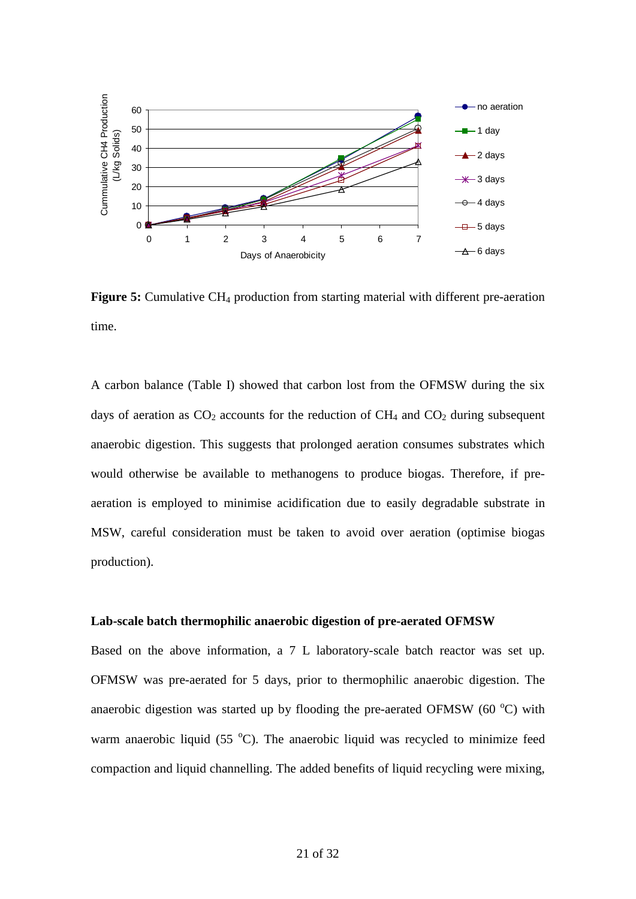

**Figure 5:** Cumulative CH<sub>4</sub> production from starting material with different pre-aeration time.

A carbon balance (Table I) showed that carbon lost from the OFMSW during the six days of aeration as  $CO<sub>2</sub>$  accounts for the reduction of  $CH<sub>4</sub>$  and  $CO<sub>2</sub>$  during subsequent anaerobic digestion. This suggests that prolonged aeration consumes substrates which would otherwise be available to methanogens to produce biogas. Therefore, if preaeration is employed to minimise acidification due to easily degradable substrate in MSW, careful consideration must be taken to avoid over aeration (optimise biogas production).

#### **Lab-scale batch thermophilic anaerobic digestion of pre-aerated OFMSW**

Based on the above information, a 7 L laboratory-scale batch reactor was set up. OFMSW was pre-aerated for 5 days, prior to thermophilic anaerobic digestion. The anaerobic digestion was started up by flooding the pre-aerated OFMSW  $(60 °C)$  with warm anaerobic liquid  $(55 \text{ °C})$ . The anaerobic liquid was recycled to minimize feed compaction and liquid channelling. The added benefits of liquid recycling were mixing,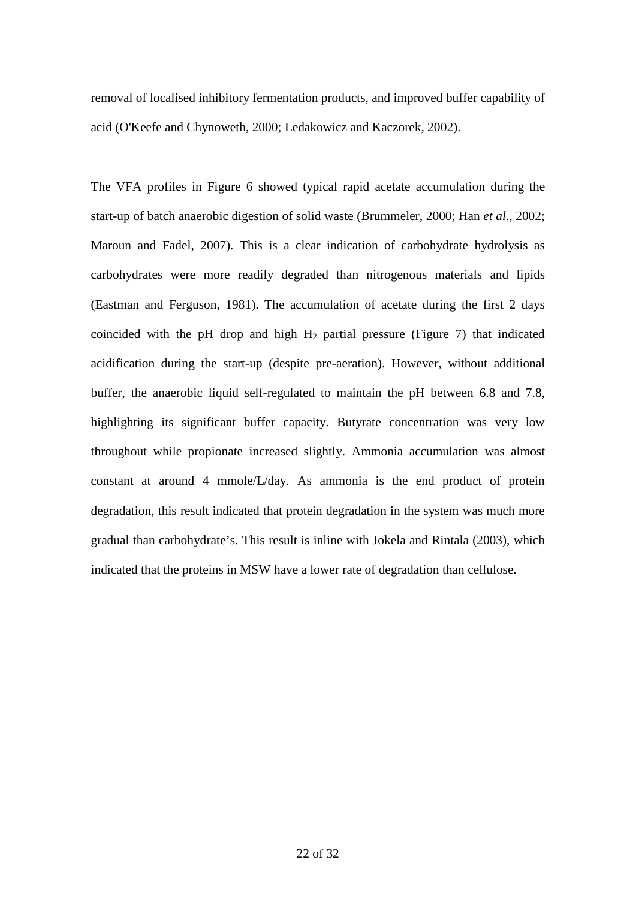removal of localised inhibitory fermentation products, and improved buffer capability of acid (O'Keefe and Chynoweth, 2000; Ledakowicz and Kaczorek, 2002).

The VFA profiles in Figure 6 showed typical rapid acetate accumulation during the start-up of batch anaerobic digestion of solid waste (Brummeler, 2000; Han *et al*., 2002; Maroun and Fadel, 2007). This is a clear indication of carbohydrate hydrolysis as carbohydrates were more readily degraded than nitrogenous materials and lipids (Eastman and Ferguson, 1981). The accumulation of acetate during the first 2 days coincided with the pH drop and high  $H_2$  partial pressure (Figure 7) that indicated acidification during the start-up (despite pre-aeration). However, without additional buffer, the anaerobic liquid self-regulated to maintain the pH between 6.8 and 7.8, highlighting its significant buffer capacity. Butyrate concentration was very low throughout while propionate increased slightly. Ammonia accumulation was almost constant at around 4 mmole/L/day. As ammonia is the end product of protein degradation, this result indicated that protein degradation in the system was much more gradual than carbohydrate's. This result is inline with Jokela and Rintala (2003), which indicated that the proteins in MSW have a lower rate of degradation than cellulose.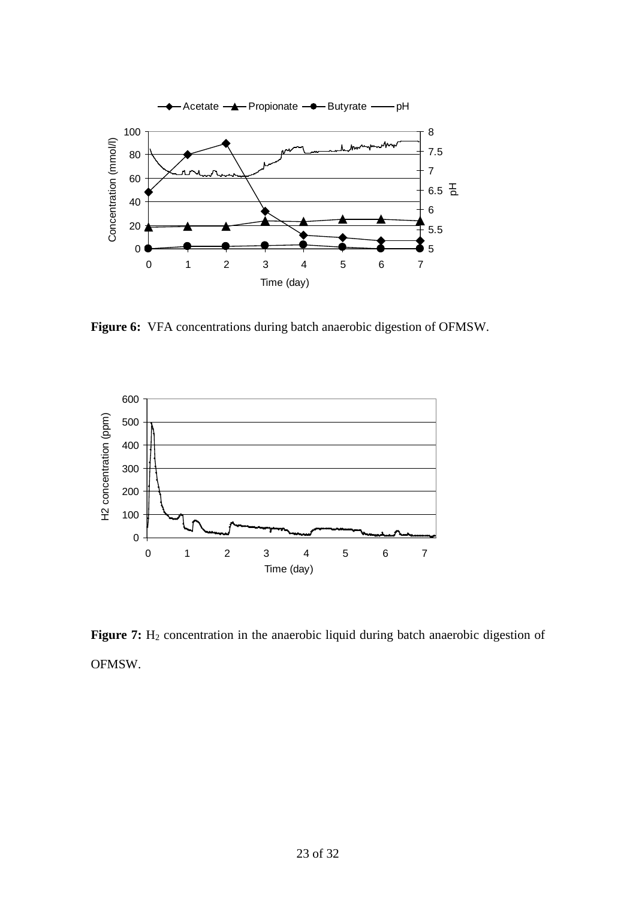

**Figure 6:** VFA concentrations during batch anaerobic digestion of OFMSW.



Figure 7: H<sub>2</sub> concentration in the anaerobic liquid during batch anaerobic digestion of OFMSW.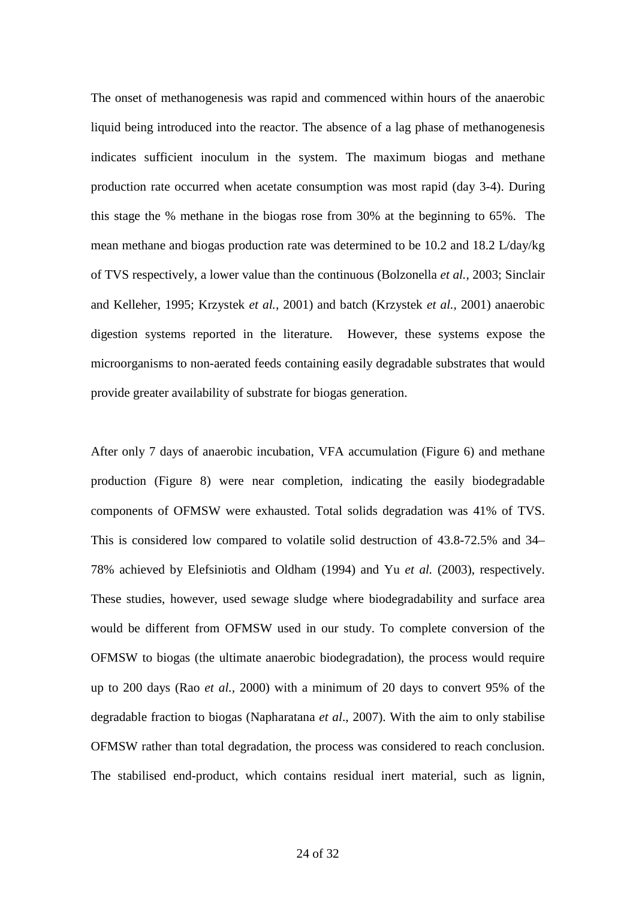The onset of methanogenesis was rapid and commenced within hours of the anaerobic liquid being introduced into the reactor. The absence of a lag phase of methanogenesis indicates sufficient inoculum in the system. The maximum biogas and methane production rate occurred when acetate consumption was most rapid (day 3-4). During this stage the % methane in the biogas rose from 30% at the beginning to 65%. The mean methane and biogas production rate was determined to be 10.2 and 18.2 L/day/kg of TVS respectively, a lower value than the continuous (Bolzonella *et al.,* 2003; Sinclair and Kelleher, 1995; Krzystek *et al.,* 2001) and batch (Krzystek *et al.,* 2001) anaerobic digestion systems reported in the literature. However, these systems expose the microorganisms to non-aerated feeds containing easily degradable substrates that would provide greater availability of substrate for biogas generation.

After only 7 days of anaerobic incubation, VFA accumulation (Figure 6) and methane production (Figure 8) were near completion, indicating the easily biodegradable components of OFMSW were exhausted. Total solids degradation was 41% of TVS. This is considered low compared to volatile solid destruction of 43.8-72.5% and 34– 78% achieved by Elefsiniotis and Oldham (1994) and Yu *et al.* (2003), respectively. These studies, however, used sewage sludge where biodegradability and surface area would be different from OFMSW used in our study. To complete conversion of the OFMSW to biogas (the ultimate anaerobic biodegradation), the process would require up to 200 days (Rao *et al.,* 2000) with a minimum of 20 days to convert 95% of the degradable fraction to biogas (Napharatana *et al*., 2007). With the aim to only stabilise OFMSW rather than total degradation, the process was considered to reach conclusion. The stabilised end-product, which contains residual inert material, such as lignin,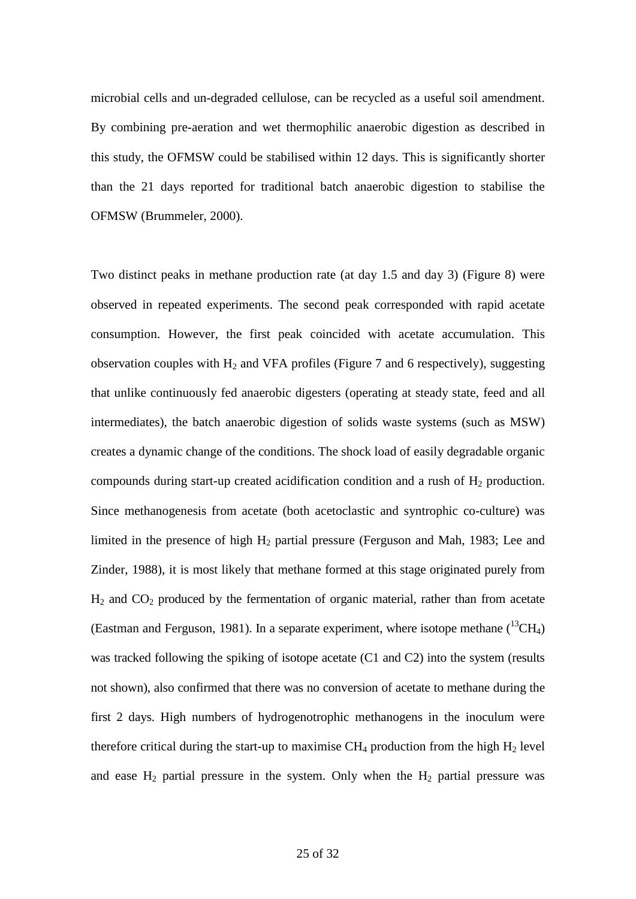microbial cells and un-degraded cellulose, can be recycled as a useful soil amendment. By combining pre-aeration and wet thermophilic anaerobic digestion as described in this study, the OFMSW could be stabilised within 12 days. This is significantly shorter than the 21 days reported for traditional batch anaerobic digestion to stabilise the OFMSW [\(Brummeler,](http://www.ncbi.nlm.nih.gov/sites/entrez?Db=PubMed&Cmd=Search&Term=%2522ten%20Brummeler%20E%2522%255BAuthor%255D&itool=EntrezSystem2.PEntrez.Pubmed.Pubmed_ResultsPanel.Pubmed_RVCitation) 2000).

Two distinct peaks in methane production rate (at day 1.5 and day 3) (Figure 8) were observed in repeated experiments. The second peak corresponded with rapid acetate consumption. However, the first peak coincided with acetate accumulation. This observation couples with  $H_2$  and VFA profiles (Figure 7 and 6 respectively), suggesting that unlike continuously fed anaerobic digesters (operating at steady state, feed and all intermediates), the batch anaerobic digestion of solids waste systems (such as MSW) creates a dynamic change of the conditions. The shock load of easily degradable organic compounds during start-up created acidification condition and a rush of  $H_2$  production. Since methanogenesis from acetate (both acetoclastic and syntrophic co-culture) was limited in the presence of high  $H_2$  partial pressure (Ferguson and Mah, 1983; Lee and Zinder, 1988), it is most likely that methane formed at this stage originated purely from  $H_2$  and  $CO_2$  produced by the fermentation of organic material, rather than from acetate (Eastman and Ferguson, 1981). In a separate experiment, where isotope methane  $(^{13}CH_4)$ was tracked following the spiking of isotope acetate (C1 and C2) into the system (results not shown), also confirmed that there was no conversion of acetate to methane during the first 2 days. High numbers of hydrogenotrophic methanogens in the inoculum were therefore critical during the start-up to maximise  $CH_4$  production from the high  $H_2$  level and ease  $H_2$  partial pressure in the system. Only when the  $H_2$  partial pressure was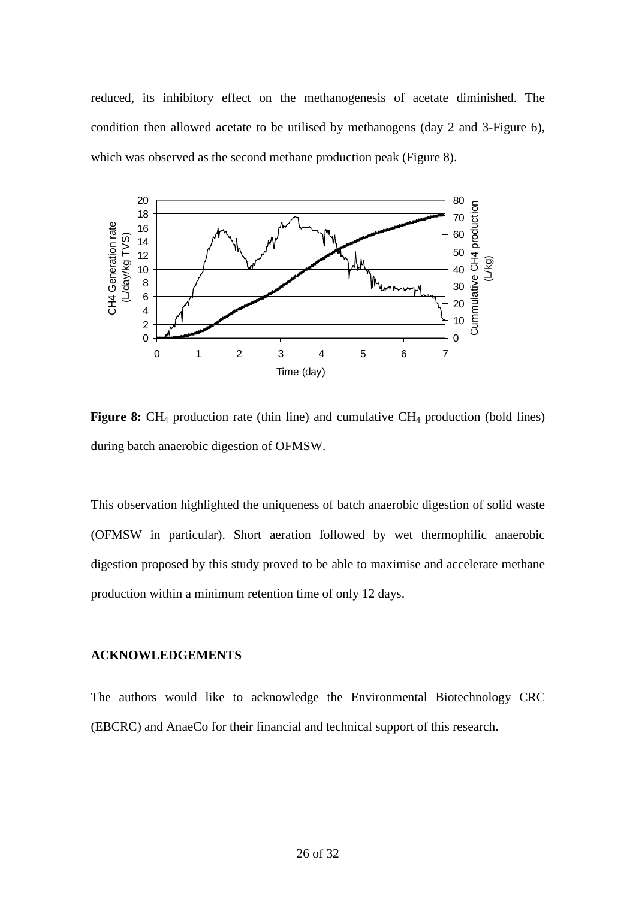reduced, its inhibitory effect on the methanogenesis of acetate diminished. The condition then allowed acetate to be utilised by methanogens (day 2 and 3-Figure 6), which was observed as the second methane production peak (Figure 8).



**Figure 8:** CH<sub>4</sub> production rate (thin line) and cumulative CH<sub>4</sub> production (bold lines) during batch anaerobic digestion of OFMSW.

This observation highlighted the uniqueness of batch anaerobic digestion of solid waste (OFMSW in particular). Short aeration followed by wet thermophilic anaerobic digestion proposed by this study proved to be able to maximise and accelerate methane production within a minimum retention time of only 12 days.

### **ACKNOWLEDGEMENTS**

The authors would like to acknowledge the Environmental Biotechnology CRC (EBCRC) and AnaeCo for their financial and technical support of this research.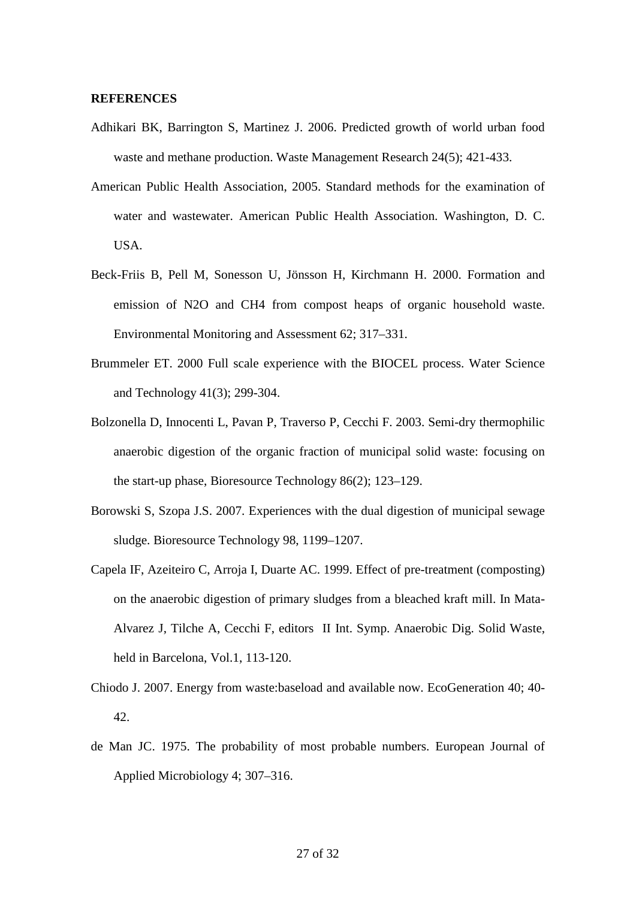#### **REFERENCES**

- Adhikari BK, Barrington S, Martinez J. 2006. Predicted growth of world urban food waste and methane production. Waste Management Research 24(5); 421-433.
- [American Public Health Association,](http://prospero.murdoch.edu.au/search/aAmerican+Public+Health+Association/aamerican+public+health+association/-2,-1,0,B/browse) 2005. Standard methods for the examination of water and wastewater. American Public Health Association. Washington, D. C. USA.
- Beck-Friis B, Pell M, Sonesson U, Jönsson H, Kirchmann H. 2000. Formation and emission of N2O and CH4 from compost heaps of organic household waste. Environmental Monitoring and Assessment 62; 317–331.
- Brummeler ET. 2000 Full scale experience with the BIOCEL process. Water Science and Technology 41(3); 299-304.
- Bolzonella D, Innocenti L, Pavan P, Traverso P, Cecchi F. 2003. Semi-dry thermophilic anaerobic digestion of the organic fraction of municipal solid waste: focusing on the start-up phase, Bioresource Technology 86(2); 123–129.
- Borowski S, Szopa J.S. 2007. Experiences with the dual digestion of municipal sewage sludge. Bioresource Technology 98, 1199–1207.
- Capela IF, Azeiteiro C, Arroja I, Duarte AC. 1999. Effect of pre-treatment (composting) on the anaerobic digestion of primary sludges from a bleached kraft mill. In Mata-Alvarez J, Tilche A, Cecchi F, editors II Int. Symp. Anaerobic Dig. Solid Waste, held in Barcelona, Vol.1, 113-120.
- Chiodo J. 2007. Energy from waste:baseload and available now. EcoGeneration 40; 40- 42.
- de Man JC. 1975. The probability of most probable numbers. European Journal of Applied Microbiology 4; 307–316.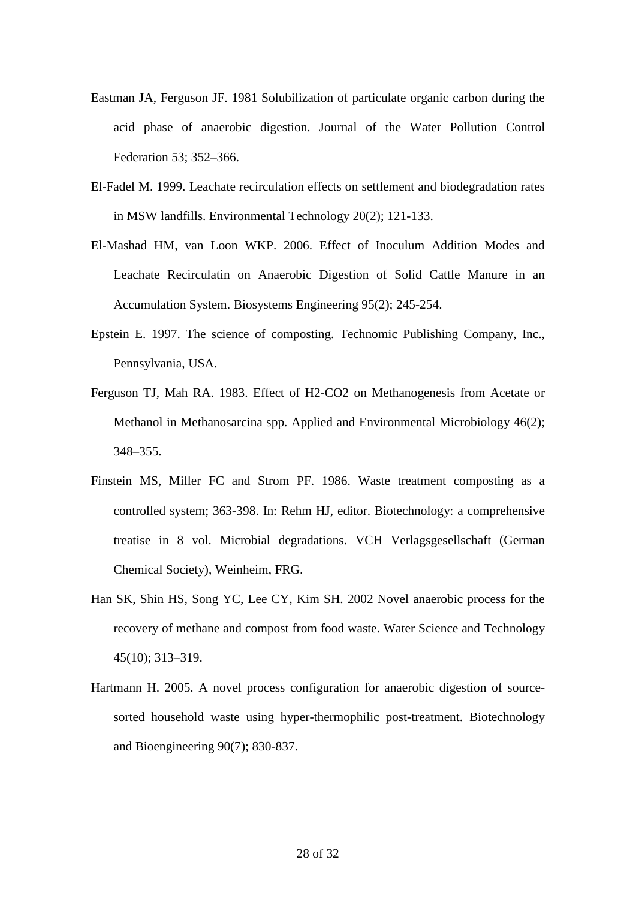- Eastman JA, Ferguson JF. 1981 Solubilization of particulate organic carbon during the acid phase of anaerobic digestion. Journal of the Water Pollution Control Federation 53; 352–366.
- El-Fadel M. 1999. Leachate recirculation effects on settlement and biodegradation rates in MSW landfills. Environmental Technology 20(2); 121-133.
- El-Mashad HM, van Loon WKP. 2006. Effect of Inoculum Addition Modes and Leachate Recirculatin on Anaerobic Digestion of Solid Cattle Manure in an Accumulation System. Biosystems Engineering 95(2); 245-254.
- Epstein E. 1997. The science of composting. Technomic Publishing Company, Inc., Pennsylvania, USA.
- Ferguson TJ, Mah RA. 1983. [Effect of H2-CO2 on Methanogenesis from Acetate or](http://www.pubmedcentral.nih.gov/articlerender.fcgi?rendertype=abstract&artid=239386)  [Methanol in Methanosarcina spp.](http://www.pubmedcentral.nih.gov/articlerender.fcgi?rendertype=abstract&artid=239386) Applied and Environmental Microbiology 46(2); 348–355.
- Finstein MS, Miller FC and Strom PF. 1986. Waste treatment composting as a controlled system; 363-398. In: Rehm HJ, editor. Biotechnology: a comprehensive treatise in 8 vol. Microbial degradations. VCH Verlagsgesellschaft (German Chemical Society), Weinheim, FRG.
- Han SK, Shin HS, Song YC, Lee CY, Kim SH. 2002 Novel anaerobic process for the recovery of methane and compost from food waste. Water Science and Technology 45(10); 313–319.
- Hartmann H. 2005. A novel process configuration for anaerobic digestion of sourcesorted household waste using hyper-thermophilic post-treatment. Biotechnology and Bioengineering 90(7); 830-837.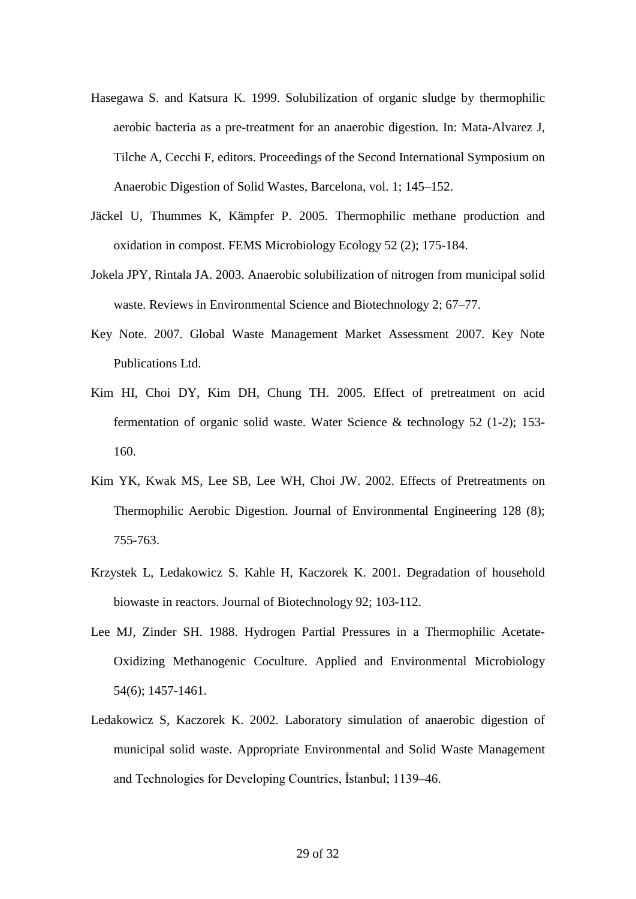- [Hasegawa](http://www.sciencedirect.com/science?_ob=ArticleURL&_udi=B6V24-401HDXD-2&_user=917906&_coverDate=08%2F31%2F2000&_rdoc=1&_fmt=&_orig=search&_sort=d&view=c&_acct=C000047999&_version=1&_urlVersion=0&_userid=917906&md5=8b5251479d645cdb18f45c621ea26d43#bbib43#) S. and Katsura K. 1999. Solubilization of organic sludge by thermophilic aerobic bacteria as a pre-treatment for an anaerobic digestion. In: Mata-Alvarez J, Tilche A, Cecchi F, editors. Proceedings of the Second International Symposium on Anaerobic Digestion of Solid Wastes, Barcelona, vol. 1; 145–152.
- Jäckel U, Thummes K, Kämpfer P. 2005. Thermophilic methane production and oxidation in compost. FEMS Microbiology Ecology 52 (2); 175-184.
- Jokela JPY, Rintala JA. 2003. Anaerobic solubilization of nitrogen from municipal solid waste. Reviews in Environmental Science and Biotechnology 2; 67–77.
- Key Note. 2007. Global Waste Management Market Assessment 2007. [Key Note](http://www.marketresearch.com/vendors/viewvendor.asp?vendorid=1458&xs=r&SID=99767488-393934813-310944541)  [Publications Ltd.](http://www.marketresearch.com/vendors/viewvendor.asp?vendorid=1458&xs=r&SID=99767488-393934813-310944541)
- Kim HI, Choi DY, Kim DH, Chung TH. 2005. Effect of pretreatment on acid fermentation of organic solid waste. Water Science & technology 52 (1-2); 153- 160.
- Kim YK, Kwak MS, Lee SB, Lee WH, Choi JW. 2002. Effects of Pretreatments on Thermophilic Aerobic Digestion. Journal of Environmental Engineering 128 (8); 755-763.
- Krzystek L, Ledakowicz S. Kahle H, Kaczorek K. 2001. Degradation of household biowaste in reactors. Journal of Biotechnology 92; 103-112.
- Lee MJ, Zinder SH. 1988. Hydrogen Partial Pressures in a Thermophilic Acetate-Oxidizing Methanogenic Coculture. Applied and Environmental Microbiology 54(6); 1457-1461.
- Ledakowicz S, Kaczorek K. 2002. Laboratory simulation of anaerobic digestion of municipal solid waste. Appropriate Environmental and Solid Waste Management and Technologies for Developing Countries, İstanbul; 1139–46.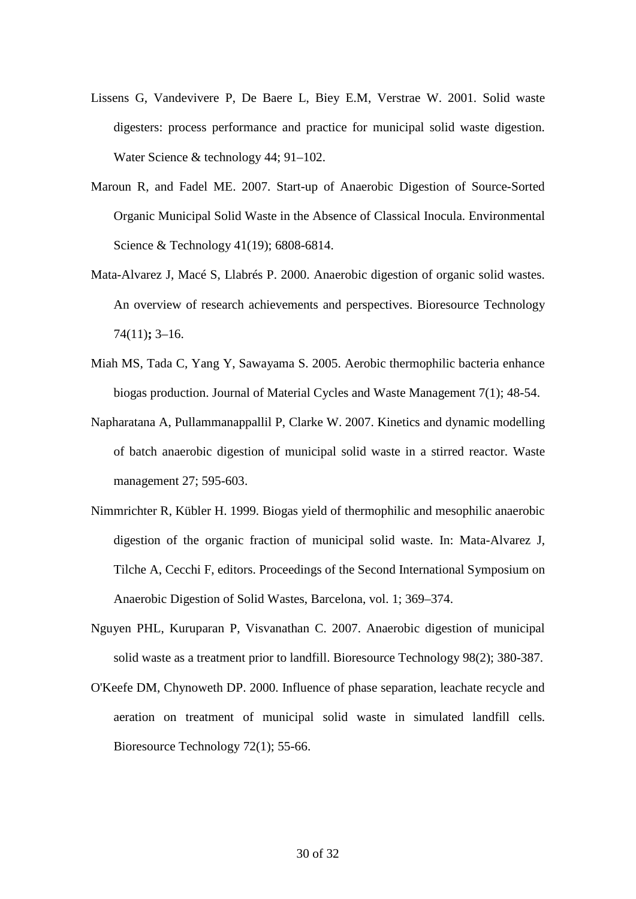- Lissens G, Vandevivere P, De Baere L, Biey E.M, Verstrae W. 2001. Solid waste digesters: process performance and practice for municipal solid waste digestion. Water Science & technology 44; 91–102.
- Maroun R, and Fadel ME. 2007. Start-up of Anaerobic Digestion of Source-Sorted Organic Municipal Solid Waste in the Absence of Classical Inocula. Environmental Science & Technology 41(19); 6808-6814.
- Mata-Alvarez J, Macé S, Llabrés P. 2000. Anaerobic digestion of organic solid wastes. An overview of research achievements and perspectives. Bioresource Technology 74(11)**;** 3–16.
- Miah MS, Tada C, Yang Y, Sawayama S. 2005. Aerobic thermophilic bacteria enhance biogas production. Journal of Material Cycles and Waste Management 7(1); 48-54.
- Napharatana A, Pullammanappallil P, Clarke W. 2007. Kinetics and dynamic modelling of batch anaerobic digestion of municipal solid waste in a stirred reactor. Waste management 27; 595-603.
- [Nimmrichter](http://www.sciencedirect.com/science?_ob=ArticleURL&_udi=B6V24-4BP9J46-3&_user=917906&_coverDate=09%2F30%2F2004&_rdoc=1&_fmt=&_orig=search&_sort=d&view=c&_acct=C000047999&_version=1&_urlVersion=0&_userid=917906&md5=b1452b245a5d69e08acb7dcdf2993cea#bbib18#) R, Kübler H. 1999. Biogas yield of thermophilic and mesophilic anaerobic digestion of the organic fraction of municipal solid waste. In: Mata-Alvarez J, Tilche A, Cecchi F, editors. Proceedings of the Second International Symposium on Anaerobic Digestion of Solid Wastes, Barcelona, vol. 1; 369–374.
- Nguyen PHL, Kuruparan P, Visvanathan C. 2007. Anaerobic digestion of municipal solid waste as a treatment prior to landfill. Bioresource Technology 98(2); 380-387.
- O'Keefe DM, Chynoweth DP. 2000. Influence of phase separation, leachate recycle and aeration on treatment of municipal solid waste in simulated landfill cells. Bioresource Technology 72(1); 55-66.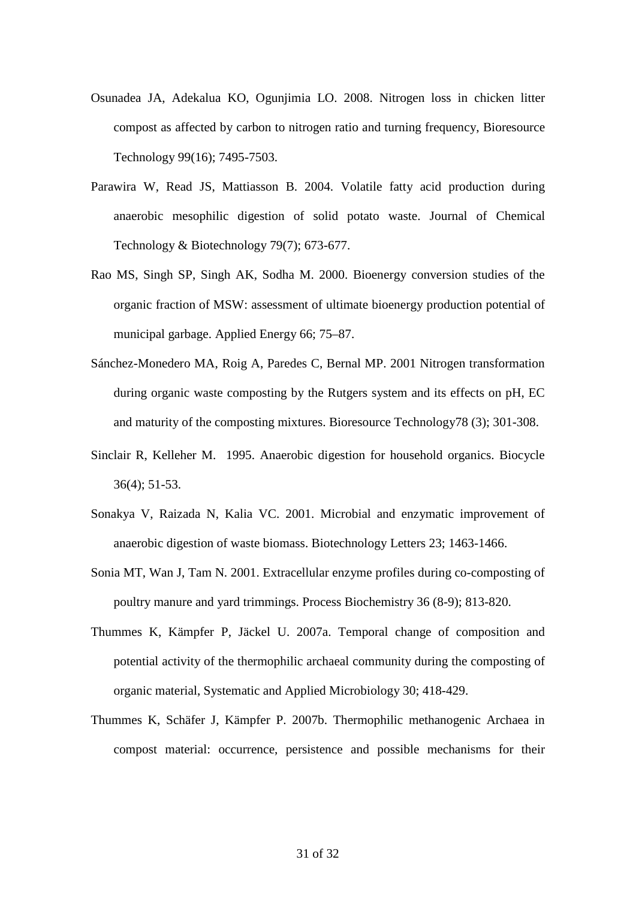- Osunadea JA, Adekalua KO, Ogunjimia LO. 2008. Nitrogen loss in chicken litter compost as affected by carbon to nitrogen ratio and turning frequency, Bioresource Technology 99(16); 7495-7503.
- Parawira W, Read JS, Mattiasson B. 2004. Volatile fatty acid production during anaerobic mesophilic digestion of solid potato waste. Journal of Chemical Technology & Biotechnology 79(7); 673-677.
- Rao MS, Singh SP, Singh AK, Sodha M. 2000. Bioenergy conversion studies of the organic fraction of MSW: assessment of ultimate bioenergy production potential of municipal garbage. Applied Energy 66; 75–87.
- Sánchez-Monedero MA, Roig A, Paredes C, Bernal MP. 2001 Nitrogen transformation during organic waste composting by the Rutgers system and its effects on pH, EC and maturity of the composting mixtures. Bioresource Technology78 (3); 301-308.
- Sinclair R, Kelleher M. 1995. Anaerobic digestion for household organics. Biocycle 36(4); 51-53.
- Sonakya V, Raizada N, Kalia VC. 2001. Microbial and enzymatic improvement of anaerobic digestion of waste biomass. Biotechnology Letters 23; 1463-1466.
- Sonia MT, Wan J, Tam N. 2001. Extracellular enzyme profiles during co-composting of poultry manure and yard trimmings. Process Biochemistry 36 (8-9); 813-820.
- Thummes K, Kämpfer P, Jäckel U. 2007a. Temporal change of composition and potential activity of the thermophilic archaeal community during the composting of organic material, Systematic and Applied Microbiology 30; 418-429.
- Thummes K, Schäfer J, Kämpfer P. 2007b. Thermophilic methanogenic Archaea in compost material: occurrence, persistence and possible mechanisms for their